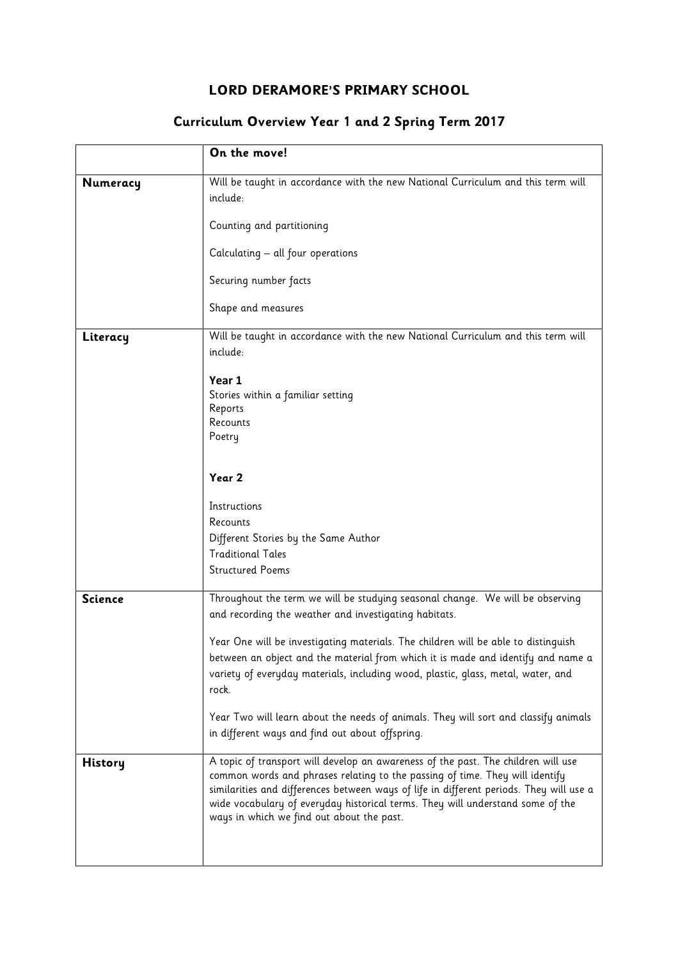## LORD DERAMORE'S PRIMARY SCHOOL

## Curriculum Overview Year 1 and 2 Spring Term 2017

|                | On the move!                                                                                                                                                                                                                                                                                                                                                                                |
|----------------|---------------------------------------------------------------------------------------------------------------------------------------------------------------------------------------------------------------------------------------------------------------------------------------------------------------------------------------------------------------------------------------------|
| Numeracy       | Will be taught in accordance with the new National Curriculum and this term will<br>include:                                                                                                                                                                                                                                                                                                |
|                | Counting and partitioning                                                                                                                                                                                                                                                                                                                                                                   |
|                | Calculating – all four operations                                                                                                                                                                                                                                                                                                                                                           |
|                | Securing number facts                                                                                                                                                                                                                                                                                                                                                                       |
|                | Shape and measures                                                                                                                                                                                                                                                                                                                                                                          |
| Literacy       | Will be taught in accordance with the new National Curriculum and this term will<br>include:                                                                                                                                                                                                                                                                                                |
|                | Year 1                                                                                                                                                                                                                                                                                                                                                                                      |
|                | Stories within a familiar setting<br>Reports                                                                                                                                                                                                                                                                                                                                                |
|                | Recounts<br>Poetry                                                                                                                                                                                                                                                                                                                                                                          |
|                |                                                                                                                                                                                                                                                                                                                                                                                             |
|                | Year 2                                                                                                                                                                                                                                                                                                                                                                                      |
|                | Instructions                                                                                                                                                                                                                                                                                                                                                                                |
|                | Recounts                                                                                                                                                                                                                                                                                                                                                                                    |
|                | Different Stories by the Same Author<br><b>Traditional Tales</b>                                                                                                                                                                                                                                                                                                                            |
|                | <b>Structured Poems</b>                                                                                                                                                                                                                                                                                                                                                                     |
| <b>Science</b> | Throughout the term we will be studying seasonal change. We will be observing<br>and recording the weather and investigating habitats.                                                                                                                                                                                                                                                      |
|                | Year One will be investigating materials. The children will be able to distinguish<br>between an object and the material from which it is made and identify and name a<br>variety of everyday materials, including wood, plastic, glass, metal, water, and<br>rock.                                                                                                                         |
|                | Year Two will learn about the needs of animals. They will sort and classify animals<br>in different ways and find out about offspring.                                                                                                                                                                                                                                                      |
| History        | A topic of transport will develop an awareness of the past. The children will use<br>common words and phrases relating to the passing of time. They will identify<br>similarities and differences between ways of life in different periods. They will use a<br>wide vocabulary of everyday historical terms. They will understand some of the<br>ways in which we find out about the past. |
|                |                                                                                                                                                                                                                                                                                                                                                                                             |